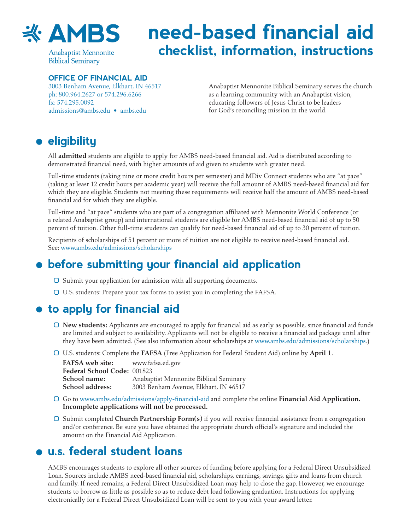

**Anabaptist Mennonite Biblical Seminary** 

# **need-based financial aid checklist, information, instructions**

#### **OFFICE OF FINANCIAL AID**

3003 Benham Avenue, Elkhart, IN 46517 ph: 800.964.2627 or 574.296.6266 fx: 574.295.0092 [admissions@ambs.edu](mailto:admissions%40ambs.edu?subject=) • [ambs.edu](http://www.ambs.edu)

Anabaptist Mennonite Biblical Seminary serves the church as a learning community with an Anabaptist vision, educating followers of Jesus Christ to be leaders for God's reconciling mission in the world.

## **eligibility**

All **admitted** students are eligible to apply for AMBS need-based financial aid. Aid is distributed according to demonstrated financial need, with higher amounts of aid given to students with greater need.

Full-time students (taking nine or more credit hours per semester) and MDiv Connect students who are "at pace" (taking at least 12 credit hours per academic year) will receive the full amount of AMBS need-based financial aid for which they are eligible. Students not meeting these requirements will receive half the amount of AMBS need-based financial aid for which they are eligible.

Full-time and "at pace" students who are part of a congregation affiliated with Mennonite World Conference (or a related Anabaptist group) and international students are eligible for AMBS need-based financial aid of up to 50 percent of tuition. Other full-time students can qualify for need-based financial aid of up to 30 percent of tuition.

Recipients of scholarships of 51 percent or more of tuition are not eligible to receive need-based financial aid. See: [www.ambs.edu/admissions/scholarships](http://www.ambs.edu/admissions/scholarships)

## **before submitting your financial aid application**

- $\Box$  Submit your application for admission with all supporting documents.
- U.S. students: Prepare your tax forms to assist you in completing the FAFSA.

#### **to apply for financial aid**

- **New students:** Applicants are encouraged to apply for financial aid as early as possible, since financial aid funds are limited and subject to availability. Applicants will not be eligible to receive a financial aid package until after they have been admitted. (See also information about scholarships at www.ambs.edu/admissions/scholarships.)
- U.S. students: Complete the **FAFSA** (Free Application for Federal Student Aid) online by **April 1**.

| <b>FAFSA</b> web site:      | www.fafsa.ed.gov                       |
|-----------------------------|----------------------------------------|
| Federal School Code: 001823 |                                        |
| School name:                | Anabaptist Mennonite Biblical Seminary |
| <b>School address:</b>      | 3003 Benham Avenue, Elkhart, IN 46517  |

- Go to www.ambs.edu/admissions/apply-financial-aid and complete the online **Financial Aid Application. Incomplete applications will not be processed.**
- Submit completed **Church Partnership Form(s)** if you will receive financial assistance from a congregation and/or conference. Be sure you have obtained the appropriate church official's signature and included the amount on the Financial Aid Application.

## **u.s. federal student loans**

AMBS encourages students to explore all other sources of funding before applying for a Federal Direct Unsubsidized Loan. Sources include AMBS need-based financial aid, scholarships, earnings, savings, gifts and loans from church and family. If need remains, a Federal Direct Unsubsidized Loan may help to close the gap. However, we encourage students to borrow as little as possible so as to reduce debt load following graduation. Instructions for applying electronically for a Federal Direct Unsubsidized Loan will be sent to you with your award letter.